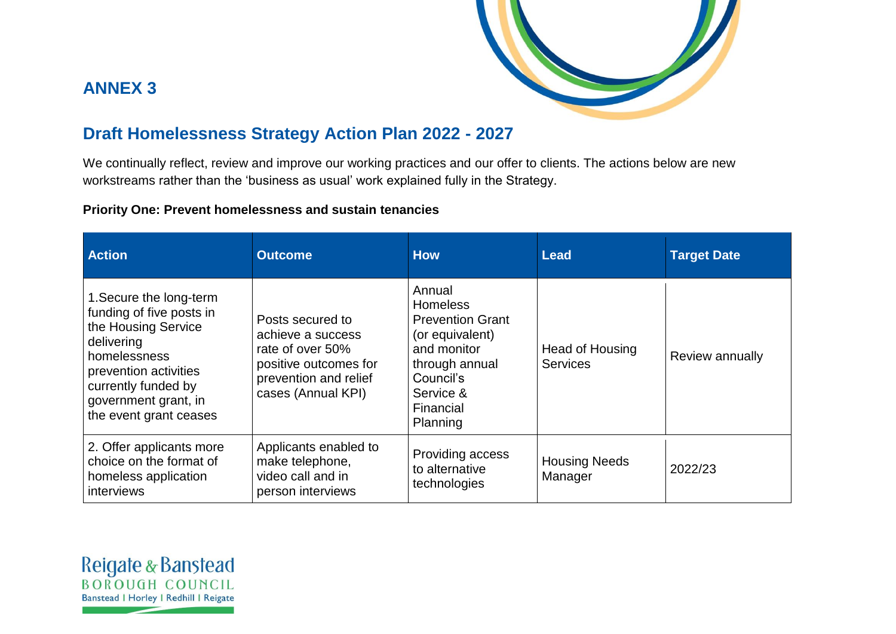

# **ANNEX 3**

## **Draft Homelessness Strategy Action Plan 2022 - 2027**

We continually reflect, review and improve our working practices and our offer to clients. The actions below are new workstreams rather than the 'business as usual' work explained fully in the Strategy.

#### **Priority One: Prevent homelessness and sustain tenancies**

| <b>Action</b>                                                                                                                                                                                              | <b>Outcome</b>                                                                                                                    | <b>How</b>                                                                                                                                                  | Lead                               | <b>Target Date</b> |
|------------------------------------------------------------------------------------------------------------------------------------------------------------------------------------------------------------|-----------------------------------------------------------------------------------------------------------------------------------|-------------------------------------------------------------------------------------------------------------------------------------------------------------|------------------------------------|--------------------|
| 1. Secure the long-term<br>funding of five posts in<br>the Housing Service<br>delivering<br>homelessness<br>prevention activities<br>currently funded by<br>government grant, in<br>the event grant ceases | Posts secured to<br>achieve a success<br>rate of over 50%<br>positive outcomes for<br>prevention and relief<br>cases (Annual KPI) | Annual<br><b>Homeless</b><br><b>Prevention Grant</b><br>(or equivalent)<br>and monitor<br>through annual<br>Council's<br>Service &<br>Financial<br>Planning | Head of Housing<br><b>Services</b> | Review annually    |
| 2. Offer applicants more<br>choice on the format of<br>homeless application<br>interviews                                                                                                                  | Applicants enabled to<br>make telephone,<br>video call and in<br>person interviews                                                | Providing access<br>to alternative<br>technologies                                                                                                          | <b>Housing Needs</b><br>Manager    | 2022/23            |

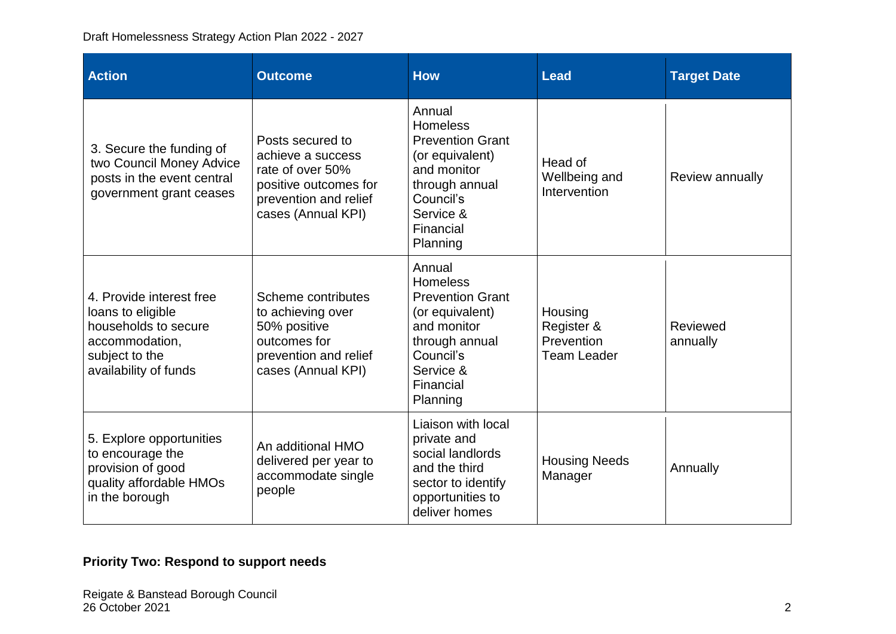| <b>Action</b>                                                                                                                      | <b>Outcome</b>                                                                                                                    | <b>How</b>                                                                                                                                                  | <b>Lead</b>                                               | <b>Target Date</b>   |
|------------------------------------------------------------------------------------------------------------------------------------|-----------------------------------------------------------------------------------------------------------------------------------|-------------------------------------------------------------------------------------------------------------------------------------------------------------|-----------------------------------------------------------|----------------------|
| 3. Secure the funding of<br>two Council Money Advice<br>posts in the event central<br>government grant ceases                      | Posts secured to<br>achieve a success<br>rate of over 50%<br>positive outcomes for<br>prevention and relief<br>cases (Annual KPI) | Annual<br><b>Homeless</b><br><b>Prevention Grant</b><br>(or equivalent)<br>and monitor<br>through annual<br>Council's<br>Service &<br>Financial<br>Planning | Head of<br>Wellbeing and<br>Intervention                  | Review annually      |
| 4. Provide interest free<br>loans to eligible<br>households to secure<br>accommodation,<br>subject to the<br>availability of funds | Scheme contributes<br>to achieving over<br>50% positive<br>outcomes for<br>prevention and relief<br>cases (Annual KPI)            | Annual<br><b>Homeless</b><br><b>Prevention Grant</b><br>(or equivalent)<br>and monitor<br>through annual<br>Council's<br>Service &<br>Financial<br>Planning | Housing<br>Register &<br>Prevention<br><b>Team Leader</b> | Reviewed<br>annually |
| 5. Explore opportunities<br>to encourage the<br>provision of good<br>quality affordable HMOs<br>in the borough                     | An additional HMO<br>delivered per year to<br>accommodate single<br>people                                                        | Liaison with local<br>private and<br>social landlords<br>and the third<br>sector to identify<br>opportunities to<br>deliver homes                           | <b>Housing Needs</b><br>Manager                           | Annually             |

## **Priority Two: Respond to support needs**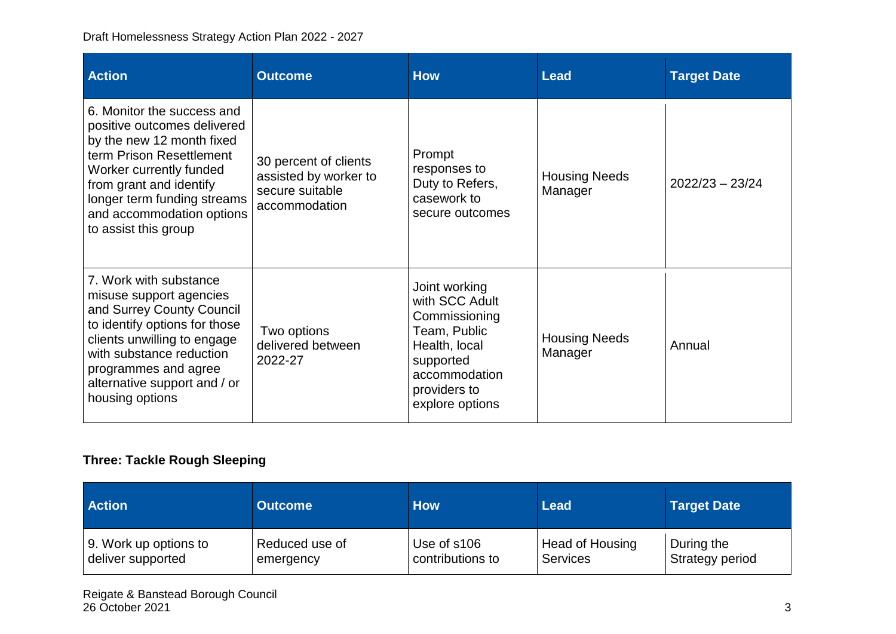| <b>Action</b>                                                                                                                                                                                                                                                | <b>Outcome</b>                                                                     | <b>How</b>                                                                                                                                         | <b>Lead</b>                     | <b>Target Date</b> |
|--------------------------------------------------------------------------------------------------------------------------------------------------------------------------------------------------------------------------------------------------------------|------------------------------------------------------------------------------------|----------------------------------------------------------------------------------------------------------------------------------------------------|---------------------------------|--------------------|
| 6. Monitor the success and<br>positive outcomes delivered<br>by the new 12 month fixed<br>term Prison Resettlement<br>Worker currently funded<br>from grant and identify<br>longer term funding streams<br>and accommodation options<br>to assist this group | 30 percent of clients<br>assisted by worker to<br>secure suitable<br>accommodation | Prompt<br>responses to<br>Duty to Refers,<br>casework to<br>secure outcomes                                                                        | <b>Housing Needs</b><br>Manager | $2022/23 - 23/24$  |
| 7. Work with substance<br>misuse support agencies<br>and Surrey County Council<br>to identify options for those<br>clients unwilling to engage<br>with substance reduction<br>programmes and agree<br>alternative support and / or<br>housing options        | Two options<br>delivered between<br>2022-27                                        | Joint working<br>with SCC Adult<br>Commissioning<br>Team, Public<br>Health, local<br>supported<br>accommodation<br>providers to<br>explore options | <b>Housing Needs</b><br>Manager | Annual             |

## **Three: Tackle Rough Sleeping**

| <b>Action</b>         | <b>Outcome</b> | <b>How</b>       | Lead                   | <b>Target Date</b> |
|-----------------------|----------------|------------------|------------------------|--------------------|
| 9. Work up options to | Reduced use of | Use of s106      | <b>Head of Housing</b> | During the         |
| deliver supported     | emergency      | contributions to | Services               | Strategy period    |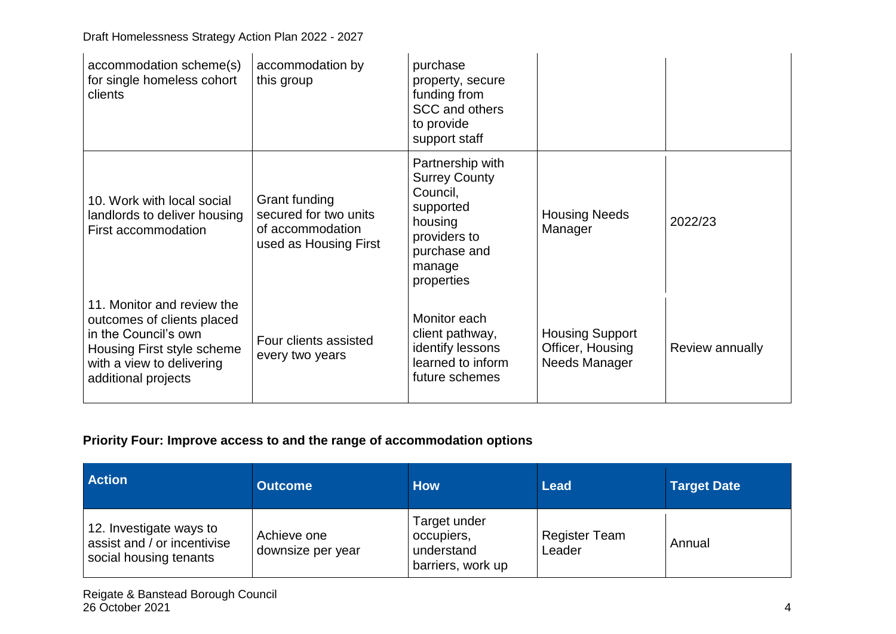| accommodation scheme(s)<br>for single homeless cohort<br>clients                                                                                                   | accommodation by<br>this group                                                      | purchase<br>property, secure<br>funding from<br>SCC and others<br>to provide<br>support staff                                        |                                                             |                 |
|--------------------------------------------------------------------------------------------------------------------------------------------------------------------|-------------------------------------------------------------------------------------|--------------------------------------------------------------------------------------------------------------------------------------|-------------------------------------------------------------|-----------------|
| 10. Work with local social<br>landlords to deliver housing<br>First accommodation                                                                                  | Grant funding<br>secured for two units<br>of accommodation<br>used as Housing First | Partnership with<br><b>Surrey County</b><br>Council,<br>supported<br>housing<br>providers to<br>purchase and<br>manage<br>properties | <b>Housing Needs</b><br>Manager                             | 2022/23         |
| 11. Monitor and review the<br>outcomes of clients placed<br>in the Council's own<br>Housing First style scheme<br>with a view to delivering<br>additional projects | Four clients assisted<br>every two years                                            | Monitor each<br>client pathway,<br>identify lessons<br>learned to inform<br>future schemes                                           | <b>Housing Support</b><br>Officer, Housing<br>Needs Manager | Review annually |

#### **Priority Four: Improve access to and the range of accommodation options**

| <b>Action</b>                                                                    | <b>Outcome</b>                   | <b>How</b>                                                    | <b>Lead</b>                    | <b>Target Date</b> |
|----------------------------------------------------------------------------------|----------------------------------|---------------------------------------------------------------|--------------------------------|--------------------|
| 12. Investigate ways to<br>assist and / or incentivise<br>social housing tenants | Achieve one<br>downsize per year | Target under<br>occupiers,<br>understand<br>barriers, work up | <b>Register Team</b><br>Leader | Annual             |